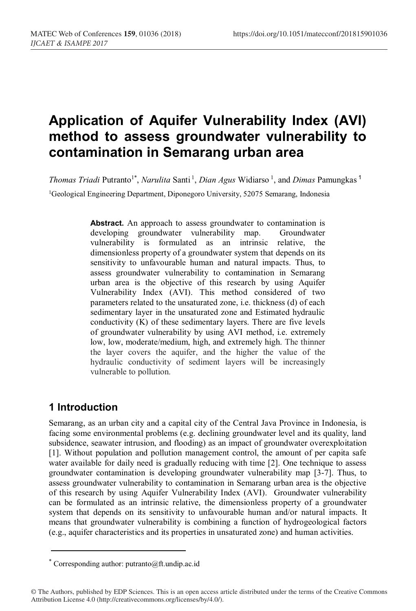# **Application of Aquifer Vulnerability Index (AVI) method to assess groundwater vulnerability to contamination in Semarang urban area**

*Thomas Triadi* Putranto<sup>1\*</sup>, *Narulita* Santi<sup>1</sup>, *Dian Agus* Widiarso<sup>1</sup>, and *Dimas* Pamungkas<sup>1</sup> <sup>1</sup>Geological Engineering Department, Diponegoro University, 52075 Semarang, Indonesia

> **Abstract.** An approach to assess groundwater to contamination is developing groundwater vulnerability map. Groundwater vulnerability is formulated as an intrinsic relative, the dimensionless property of a groundwater system that depends on its sensitivity to unfavourable human and natural impacts. Thus, to assess groundwater vulnerability to contamination in Semarang urban area is the objective of this research by using Aquifer Vulnerability Index (AVI). This method considered of two parameters related to the unsaturated zone, i.e. thickness (d) of each sedimentary layer in the unsaturated zone and Estimated hydraulic conductivity (K) of these sedimentary layers. There are five levels of groundwater vulnerability by using AVI method, i.e. extremely low, low, moderate/medium, high, and extremely high. The thinner the layer covers the aquifer, and the higher the value of the hydraulic conductivity of sediment layers will be increasingly vulnerable to pollution.

### **1 Introduction**

Semarang, as an urban city and a capital city of the Central Java Province in Indonesia, is facing some environmental problems (e.g. declining groundwater level and its quality, land subsidence, seawater intrusion, and flooding) as an impact of groundwater overexploitation [1]. Without population and pollution management control, the amount of per capita safe water available for daily need is gradually reducing with time [2]. One technique to assess groundwater contamination is developing groundwater vulnerability map [3-7]. Thus, to assess groundwater vulnerability to contamination in Semarang urban area is the objective of this research by using Aquifer Vulnerability Index (AVI). Groundwater vulnerability can be formulated as an intrinsic relative, the dimensionless property of a groundwater system that depends on its sensitivity to unfavourable human and/or natural impacts. It means that groundwater vulnerability is combining a function of hydrogeological factors (e.g., aquifer characteristics and its properties in unsaturated zone) and human activities.

<sup>\*</sup> Corresponding author: putranto@ft.undip.ac.id

<sup>©</sup> The Authors, published by EDP Sciences. This is an open access article distributed under the terms of the Creative Commons Attribution License 4.0 (http://creativecommons.org/licenses/by/4.0/).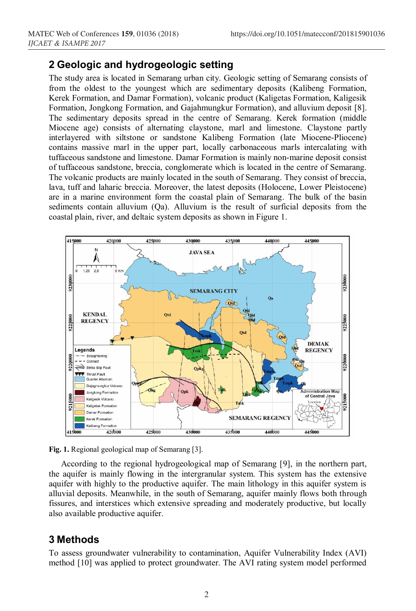#### **2 Geologic and hydrogeologic setting**

The study area is located in Semarang urban city. Geologic setting of Semarang consists of from the oldest to the youngest which are sedimentary deposits (Kalibeng Formation, Kerek Formation, and Damar Formation), volcanic product (Kaligetas Formation, Kaligesik Formation, Jongkong Formation, and Gajahmungkur Formation), and alluvium deposit [8]. The sedimentary deposits spread in the centre of Semarang. Kerek formation (middle Miocene age) consists of alternating claystone, marl and limestone. Claystone partly interlayered with siltstone or sandstone Kalibeng Formation (late Miocene-Pliocene) contains massive marl in the upper part, locally carbonaceous marls intercalating with tuffaceous sandstone and limestone. Damar Formation is mainly non-marine deposit consist of tuffaceous sandstone, breccia, conglomerate which is located in the centre of Semarang. The volcanic products are mainly located in the south of Semarang. They consist of breccia, lava, tuff and laharic breccia. Moreover, the latest deposits (Holocene, Lower Pleistocene) are in a marine environment form the coastal plain of Semarang. The bulk of the basin sediments contain alluvium (Qa). Alluvium is the result of surficial deposits from the coastal plain, river, and deltaic system deposits as shown in Figure 1.



**Fig. 1.** Regional geological map of Semarang [3].

According to the regional hydrogeological map of Semarang [9], in the northern part, the aquifer is mainly flowing in the intergranular system. This system has the extensive aquifer with highly to the productive aquifer. The main lithology in this aquifer system is alluvial deposits. Meanwhile, in the south of Semarang, aquifer mainly flows both through fissures, and interstices which extensive spreading and moderately productive, but locally also available productive aquifer.

#### **3 Methods**

To assess groundwater vulnerability to contamination, Aquifer Vulnerability Index (AVI) method [10] was applied to protect groundwater. The AVI rating system model performed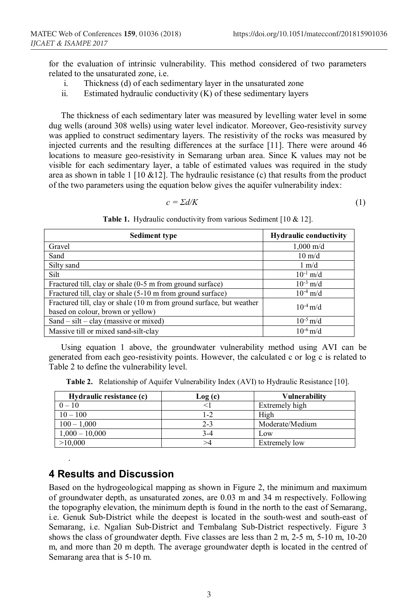for the evaluation of intrinsic vulnerability. This method considered of two parameters related to the unsaturated zone, i.e.

- i. Thickness (d) of each sedimentary layer in the unsaturated zone
- ii. Estimated hydraulic conductivity  $(K)$  of these sedimentary layers

The thickness of each sedimentary later was measured by levelling water level in some dug wells (around 308 wells) using water level indicator. Moreover, Geo-resistivity survey was applied to construct sedimentary layers. The resistivity of the rocks was measured by injected currents and the resulting differences at the surface [11]. There were around 46 locations to measure geo-resistivity in Semarang urban area. Since K values may not be visible for each sedimentary layer, a table of estimated values was required in the study area as shown in table 1 [10  $&12$ ]. The hydraulic resistance (c) that results from the product of the two parameters using the equation below gives the aquifer vulnerability index:

$$
c = \Sigma d/K \tag{1}
$$

**Table 1.** Hydraulic conductivity from various Sediment [10 & 12].

| <b>Sediment type</b>                                                                                      | <b>Hydraulic conductivity</b> |
|-----------------------------------------------------------------------------------------------------------|-------------------------------|
| Gravel                                                                                                    | $1,000 \text{ m/d}$           |
| Sand                                                                                                      | $10 \text{ m/d}$              |
| Silty sand                                                                                                | $1 \text{ m/d}$               |
| Silt                                                                                                      | $10^{-1}$ m/d                 |
| Fractured till, clay or shale (0-5 m from ground surface)                                                 | $10^{-3}$ m/d                 |
| Fractured till, clay or shale (5-10 m from ground surface)                                                | $10^{-4}$ m/d                 |
| Fractured till, clay or shale (10 m from ground surface, but weather<br>based on colour, brown or yellow) | $10^{-4}$ m/d                 |
| Sand $-$ silt $-$ clay (massive or mixed)                                                                 | $10^{-5}$ m/d                 |
| Massive till or mixed sand-silt-clay                                                                      | $10^{-6}$ m/d                 |

Using equation 1 above, the groundwater vulnerability method using AVI can be generated from each geo-resistivity points. However, the calculated c or log c is related to Table 2 to define the vulnerability level.

**Table 2.** Relationship of Aquifer Vulnerability Index (AVI) to Hydraulic Resistance [10].

| Hydraulic resistance (c) | Log (c) | <b>Vulnerability</b> |
|--------------------------|---------|----------------------|
| $0 - 10$                 |         | Extremely high       |
| $10 - 100$               | 1-2     | High                 |
| $100 - 1,000$            | $2 - 3$ | Moderate/Medium      |
| $1,000 - 10,000$         | 3-4     | Low                  |
| >10,000                  | >4      | Extremely low        |

#### **4 Results and Discussion**

.

Based on the hydrogeological mapping as shown in Figure 2, the minimum and maximum of groundwater depth, as unsaturated zones, are 0.03 m and 34 m respectively. Following the topography elevation, the minimum depth is found in the north to the east of Semarang, i.e. Genuk Sub-District while the deepest is located in the south-west and south-east of Semarang, i.e. Ngalian Sub-District and Tembalang Sub-District respectively. Figure 3 shows the class of groundwater depth. Five classes are less than 2 m, 2-5 m, 5-10 m, 10-20 m, and more than 20 m depth. The average groundwater depth is located in the centred of Semarang area that is 5-10 m.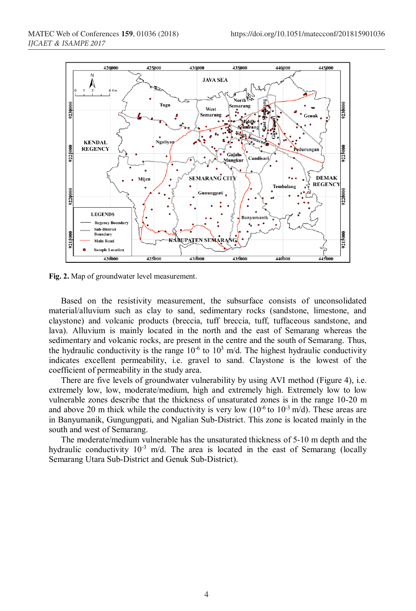

**Fig. 2.** Map of groundwater level measurement.

Based on the resistivity measurement, the subsurface consists of unconsolidated material/alluvium such as clay to sand, sedimentary rocks (sandstone, limestone, and claystone) and volcanic products (breccia, tuff breccia, tuff, tuffaceous sandstone, and lava). Alluvium is mainly located in the north and the east of Semarang whereas the sedimentary and volcanic rocks, are present in the centre and the south of Semarang. Thus, the hydraulic conductivity is the range  $10^{-6}$  to  $10^{3}$  m/d. The highest hydraulic conductivity indicates excellent permeability, i.e. gravel to sand. Claystone is the lowest of the coefficient of permeability in the study area.

There are five levels of groundwater vulnerability by using AVI method (Figure 4), i.e. extremely low, low, moderate/medium, high and extremely high. Extremely low to low vulnerable zones describe that the thickness of unsaturated zones is in the range 10-20 m and above 20 m thick while the conductivity is very low  $(10^{-6}$  to  $10^{-3}$  m/d). These areas are in Banyumanik, Gungungpati, and Ngalian Sub-District. This zone is located mainly in the south and west of Semarang.

The moderate/medium vulnerable has the unsaturated thickness of 5-10 m depth and the hydraulic conductivity  $10^{-3}$  m/d. The area is located in the east of Semarang (locally Semarang Utara Sub-District and Genuk Sub-District).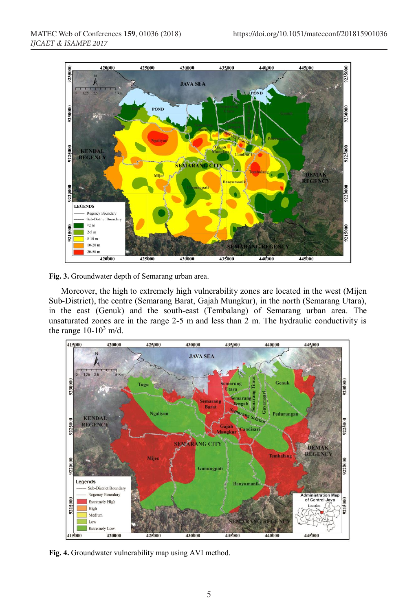

**Fig. 3.** Groundwater depth of Semarang urban area.

Moreover, the high to extremely high vulnerability zones are located in the west (Mijen Sub-District), the centre (Semarang Barat, Gajah Mungkur), in the north (Semarang Utara), in the east (Genuk) and the south-east (Tembalang) of Semarang urban area. The unsaturated zones are in the range 2-5 m and less than 2 m. The hydraulic conductivity is the range  $10-10^3$  m/d.



**Fig. 4.** Groundwater vulnerability map using AVI method.